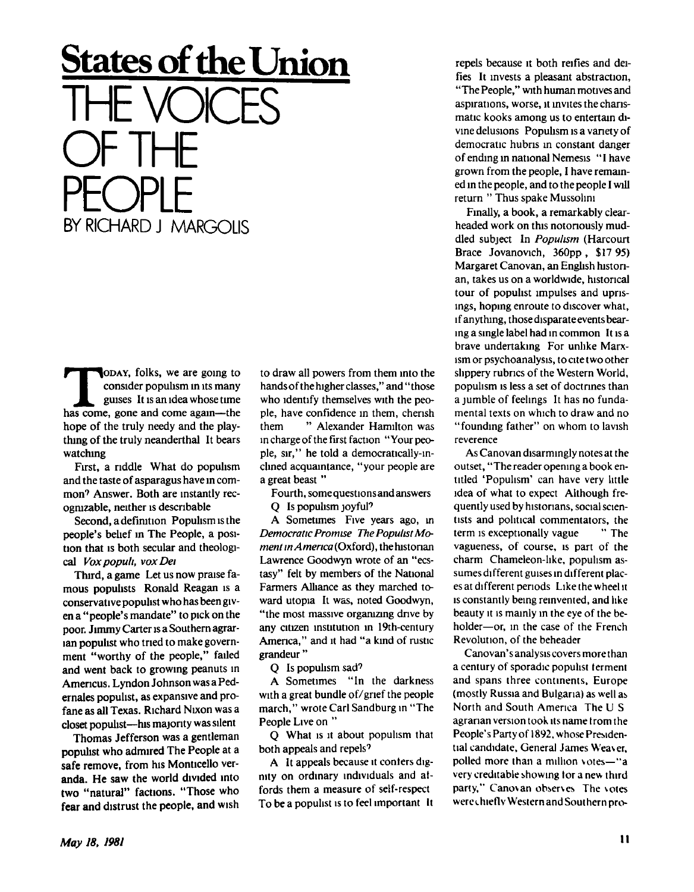## **States of the Union**  THE VOICES OF IHE PEOPLE BY RICHARD J MARGOLIS

**THEORY CONSTRUMENT CONSIDER**<br> **THEORY CONSIST** CONSIST UP AND CONSIST UP AND COME AGAINMENT CONSIST AND RESPONSIVE AND RESPONSIVED AS CONSISTENT AND RESPONSIVED A SUPPORT AND RESPONSIVED A SUPPORT AND RESPONSIVED A SUPPOR **ODAY**, folks, we are going to consider populism in its many guises It is an idea whose time hope of the truly needy and the plaything of the truly neanderthal It bears watching

First, a riddle What do populism and the taste of asparagus have in common' Answer. Both are instantly recognizable, neither is descnbable

Second, a definition Populism is the people's belief in The People, a position that is both secular and theological *Voxpopuh, vox Dei* 

Third, a game Let us now praise famous populists Ronald Reagan is a conservative populist who has been given a "people's mandate" to pick on the poor. Jimmy Carter is a Southern agrarian populist who tried to make government "worthy of the people," failed and went back to growing peanuts in Amencus. Lyndon Johnson was a Pedernales populist, as expansive and profane as all Texas. Richard Nixon was a closet populist—his majority was silent

Thomas Jefferson was a gentleman populist who admired The People at a safe remove, from his Monticelio veranda. He saw the world divided into two "natural" factions. "Those who fear and distrust the people, and wish to draw all powers from them into the hands of the higher classes," and "those who identify themselves with the people, have confidence in them, cherish them " Alexander Hamilton was in charge of the first faction "Your people, sir," he told a democratically**-in**clined acquaintance, "your people are a great beast "

Fourth, some questions and answers

Q Is populism joyful<sup>9</sup>

A Sometimes Five years ago, in *Democratic Promise The Populist Moment in America* (Oxford), the historian Lawrence Goodwyn wrote **of** an "ecstasy" felt by members of the National Farmers Alliance as they marched toward **Utopia** It was, noted Goodwyn, "the most massive organizing drive by any citizen insutution in 19th-century America," and it had "a kind **of** rustic grandeur"

Q Is populism sad?

A Sometimes "In the darkness with a great bundle of/gnef the people march," wrote Carl Sandburg in "The People Live on "

Q What is it about populism that both appeals and repels?

A It appeals because it confers dignity on ordinary individuals and atfords them a measure of self-respect To be a populist is to feel important It

repels because it both reifies and deifies It invests a pleasant abstraction, "The People," with human motives and aspirations, worse, it mvites the charismatic kooks among us to entertain divine delusions Populism is a variety of democratic hubris in constant danger of ending m national Nemesis "I have grown from the people, I have remained in the people, and to the people I will return " Thus spake Mussolini

Finally, a book, a remarkably clearheaded work on this notoriously muddled subject In *Populism* (Harcourt Brace Jovanovich, 360pp , \$17 95) Margaret Canovan, an English historian, takes us on a worldwide, historical tour of populist impulses and uprisings, hoping enroute to discover what, if anything, those disparate events bearing a single label had in common It is a brave undertaking For unlike Marxism or psychoanalysis, to cite two other slippery rubrics of the Western World, populism is less a set of doctrines than a jumble of feelings It has no fundamental texts on which to draw and no "founding father" on whom to lavish reverence

As Canovan disarmingly notes at the outset, "The reader opening a book entitled 'Populism' can have very little idea of what to expect Although frequently used by historians, social scientists and political commentators, the term is exceptionally vague " The vagueness, of course, is part of the charm Chameleon-like, populism assumes different guises in different places at different periods Like the wheel it is constantly being reinvented, and like beauty it is mainly in the eye of the beholder—or, in the case of the French Revolution, of the beheader

Canovan's analysis covers more than a century of sporadic populist terment and spans three continents, Europe (mostly Russia and Bulgaria) as well as North and South America The U S agrarian version took its name trom the People's Party of 1892, whose Presidential candidate, General James Weaver, polled more than a million votes—"a very creditable showing tor a new third party," Canovan observes The votes werethieflv Western and Southern pro